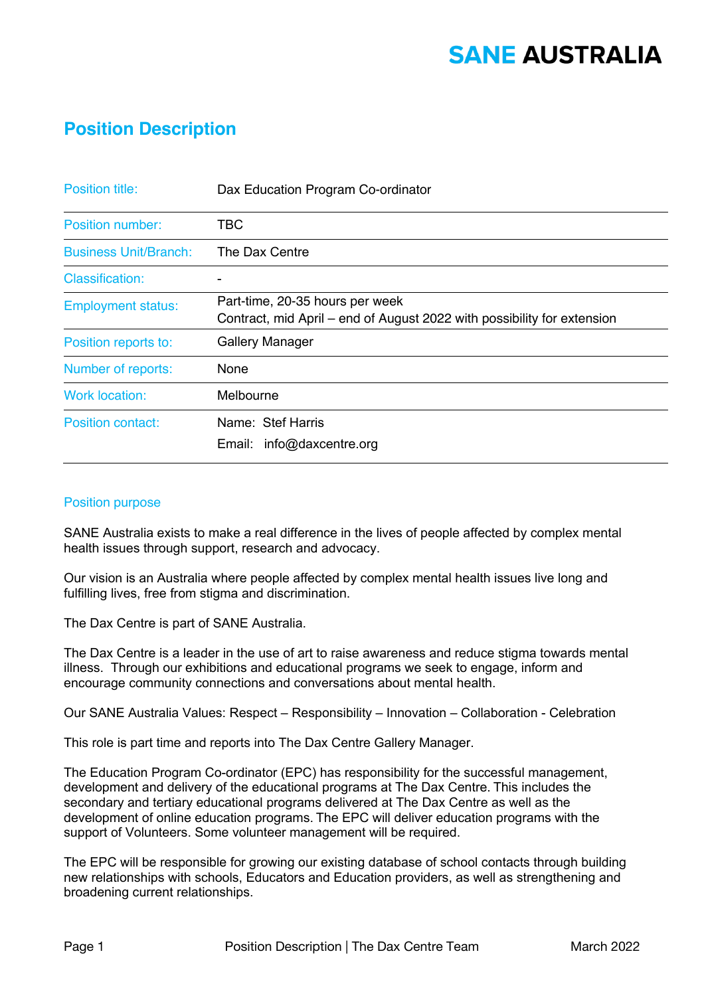### **Position Description**

| <b>Position title:</b>       | Dax Education Program Co-ordinator                                                                         |
|------------------------------|------------------------------------------------------------------------------------------------------------|
| <b>Position number:</b>      | TBC                                                                                                        |
| <b>Business Unit/Branch:</b> | The Dax Centre                                                                                             |
| <b>Classification:</b>       |                                                                                                            |
| <b>Employment status:</b>    | Part-time, 20-35 hours per week<br>Contract, mid April – end of August 2022 with possibility for extension |
| Position reports to:         | <b>Gallery Manager</b>                                                                                     |
| Number of reports:           | None                                                                                                       |
| <b>Work location:</b>        | Melbourne                                                                                                  |
| <b>Position contact:</b>     | Name: Stef Harris<br>Email: info@daxcentre.org                                                             |

#### Position purpose

SANE Australia exists to make a real difference in the lives of people affected by complex mental health issues through support, research and advocacy.

Our vision is an Australia where people affected by complex mental health issues live long and fulfilling lives, free from stigma and discrimination.

The Dax Centre is part of SANE Australia.

The Dax Centre is a leader in the use of art to raise awareness and reduce stigma towards mental illness. Through our exhibitions and educational programs we seek to engage, inform and encourage community connections and conversations about mental health.

Our SANE Australia Values: Respect – Responsibility – Innovation – Collaboration - Celebration

This role is part time and reports into The Dax Centre Gallery Manager.

The Education Program Co-ordinator (EPC) has responsibility for the successful management, development and delivery of the educational programs at The Dax Centre. This includes the secondary and tertiary educational programs delivered at The Dax Centre as well as the development of online education programs. The EPC will deliver education programs with the support of Volunteers. Some volunteer management will be required.

The EPC will be responsible for growing our existing database of school contacts through building new relationships with schools, Educators and Education providers, as well as strengthening and broadening current relationships.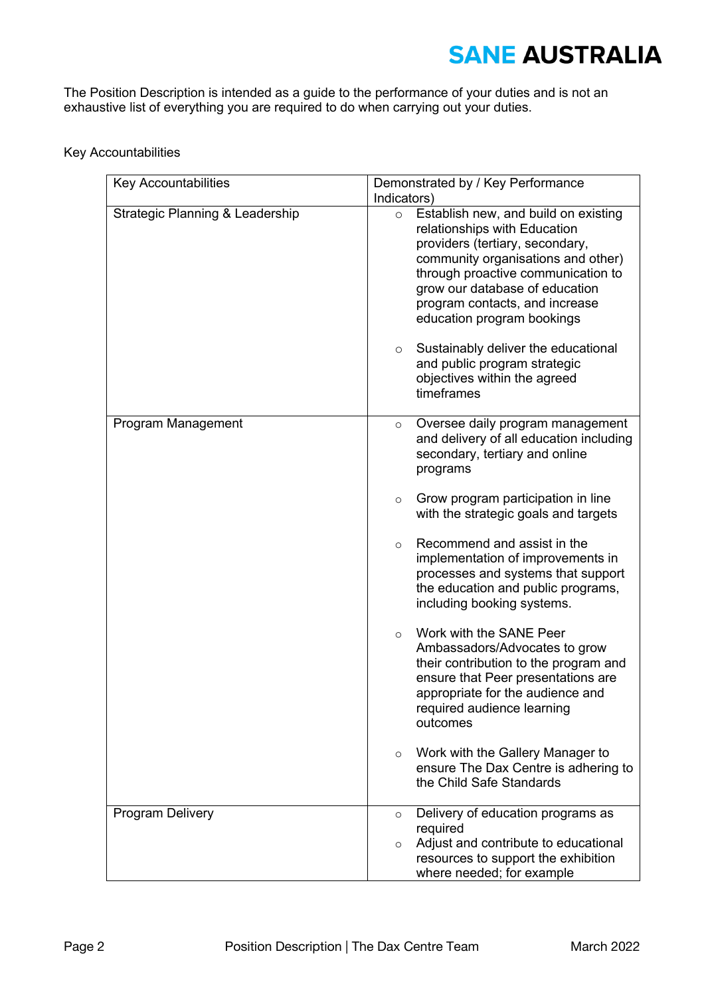The Position Description is intended as a guide to the performance of your duties and is not an exhaustive list of everything you are required to do when carrying out your duties.

#### Key Accountabilities

| <b>Key Accountabilities</b>     | Demonstrated by / Key Performance<br>Indicators)                                                                                                                                                                                                                                                                                                                                                                                 |
|---------------------------------|----------------------------------------------------------------------------------------------------------------------------------------------------------------------------------------------------------------------------------------------------------------------------------------------------------------------------------------------------------------------------------------------------------------------------------|
| Strategic Planning & Leadership | Establish new, and build on existing<br>$\circ$<br>relationships with Education<br>providers (tertiary, secondary,<br>community organisations and other)<br>through proactive communication to<br>grow our database of education<br>program contacts, and increase<br>education program bookings<br>Sustainably deliver the educational<br>$\circ$<br>and public program strategic<br>objectives within the agreed<br>timeframes |
|                                 |                                                                                                                                                                                                                                                                                                                                                                                                                                  |
| Program Management              | Oversee daily program management<br>$\circ$<br>and delivery of all education including<br>secondary, tertiary and online<br>programs                                                                                                                                                                                                                                                                                             |
|                                 | Grow program participation in line<br>$\circ$<br>with the strategic goals and targets                                                                                                                                                                                                                                                                                                                                            |
|                                 | Recommend and assist in the<br>$\circ$<br>implementation of improvements in<br>processes and systems that support<br>the education and public programs,<br>including booking systems.                                                                                                                                                                                                                                            |
|                                 | Work with the SANE Peer<br>$\circ$<br>Ambassadors/Advocates to grow<br>their contribution to the program and<br>ensure that Peer presentations are<br>appropriate for the audience and<br>required audience learning<br>outcomes                                                                                                                                                                                                 |
|                                 | Work with the Gallery Manager to<br>$\circ$<br>ensure The Dax Centre is adhering to<br>the Child Safe Standards                                                                                                                                                                                                                                                                                                                  |
| <b>Program Delivery</b>         | Delivery of education programs as<br>$\circ$<br>required                                                                                                                                                                                                                                                                                                                                                                         |
|                                 | Adjust and contribute to educational<br>$\circ$<br>resources to support the exhibition<br>where needed; for example                                                                                                                                                                                                                                                                                                              |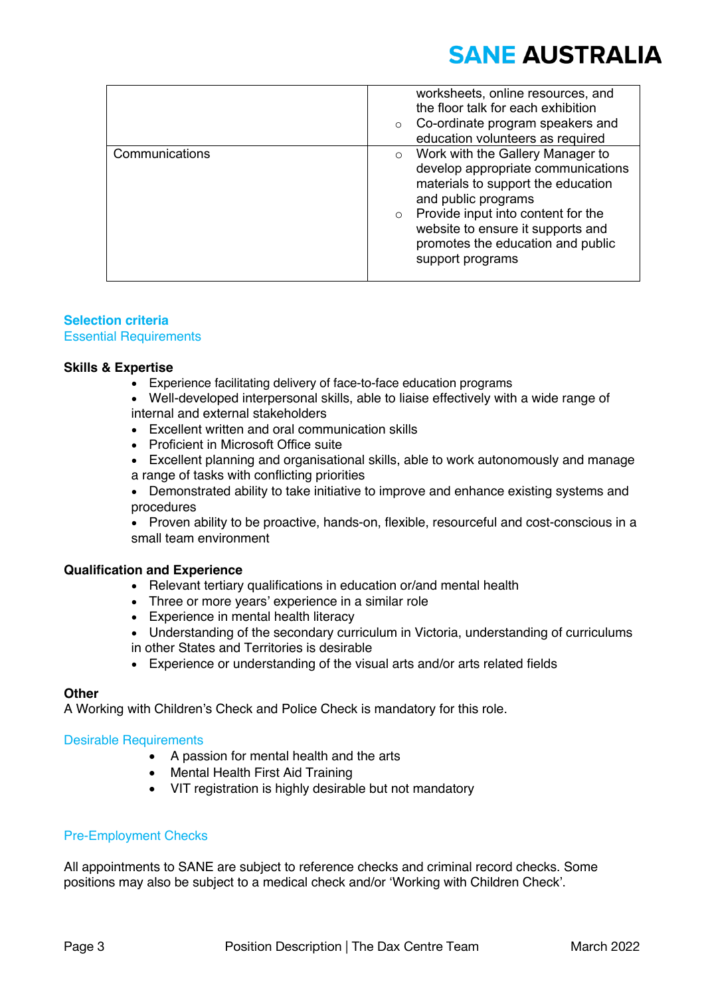|                | worksheets, online resources, and<br>the floor talk for each exhibition<br>Co-ordinate program speakers and<br>$\circ$<br>education volunteers as required                                                                                                                                    |
|----------------|-----------------------------------------------------------------------------------------------------------------------------------------------------------------------------------------------------------------------------------------------------------------------------------------------|
| Communications | Work with the Gallery Manager to<br>$\circ$<br>develop appropriate communications<br>materials to support the education<br>and public programs<br>Provide input into content for the<br>$\circ$<br>website to ensure it supports and<br>promotes the education and public<br>support programs |

#### **Selection criteria** Essential Requirements

#### **Skills & Expertise**

- Experience facilitating delivery of face-to-face education programs
- Well-developed interpersonal skills, able to liaise effectively with a wide range of internal and external stakeholders
- Excellent written and oral communication skills
- Proficient in Microsoft Office suite
- Excellent planning and organisational skills, able to work autonomously and manage a range of tasks with conflicting priorities
- Demonstrated ability to take initiative to improve and enhance existing systems and procedures

• Proven ability to be proactive, hands-on, flexible, resourceful and cost-conscious in a small team environment

#### **Qualification and Experience**

- Relevant tertiary qualifications in education or/and mental health
- Three or more years' experience in a similar role
- Experience in mental health literacy
- Understanding of the secondary curriculum in Victoria, understanding of curriculums
- in other States and Territories is desirable
- Experience or understanding of the visual arts and/or arts related fields

#### **Other**

A Working with Children's Check and Police Check is mandatory for this role.  

#### Desirable Requirements

- A passion for mental health and the arts
- Mental Health First Aid Training
- VIT registration is highly desirable but not mandatory

#### Pre-Employment Checks

All appointments to SANE are subject to reference checks and criminal record checks. Some positions may also be subject to a medical check and/or 'Working with Children Check'.